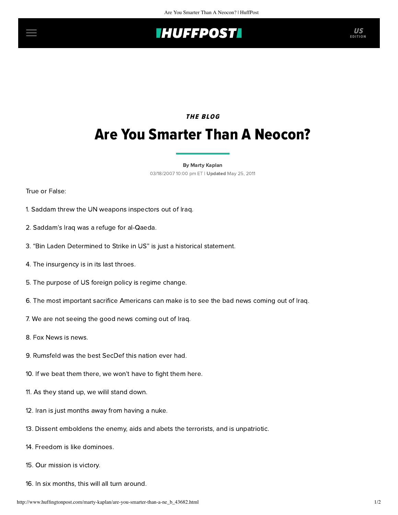## **INUFFPOSTI** US

## THE BLOG

## Are You Smarter Than A Neocon?

[By Marty Kaplan](http://www.huffingtonpost.com/author/marty-kaplan) 03/18/2007 10:00 pm ET | Updated May 25, 2011

True or False:

- 1. Saddam threw the UN weapons inspectors out of Iraq.
- 2. Saddam's Iraq was a refuge for al-Qaeda.
- 3. "Bin Laden Determined to Strike in US" is just a historical statement.
- 4. The insurgency is in its last throes.
- 5. The purpose of US foreign policy is regime change.
- 6. The most important sacrifice Americans can make is to see the bad news coming out of Iraq.
- 7. We are not seeing the good news coming out of Iraq.
- 8. Fox News is news.
- 9. Rumsfeld was the best SecDef this nation ever had.
- 10. If we beat them there, we won't have to fight them here.
- 11. As they stand up, we wilil stand down.
- 12. Iran is just months away from having a nuke.
- 13. Dissent emboldens the enemy, aids and abets the terrorists, and is unpatriotic.
- 14. Freedom is like dominoes.
- 15. Our mission is victory.
- 16. In six months, this will all turn around.